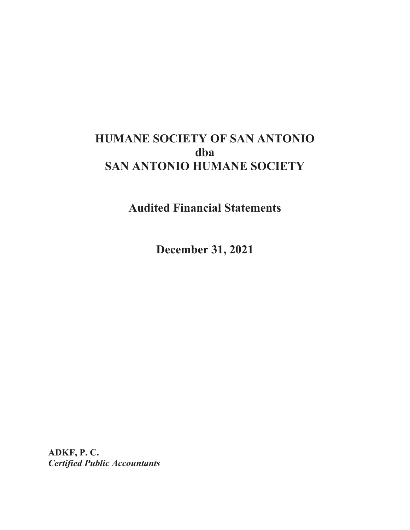# **HUMANE SOCIETY OF SAN ANTONIO dba SAN ANTONIO HUMANE SOCIETY**

**Audited Financial Statements** 

**December 31, 2021** 

**ADKF, P. C.**  *Certified Public Accountants*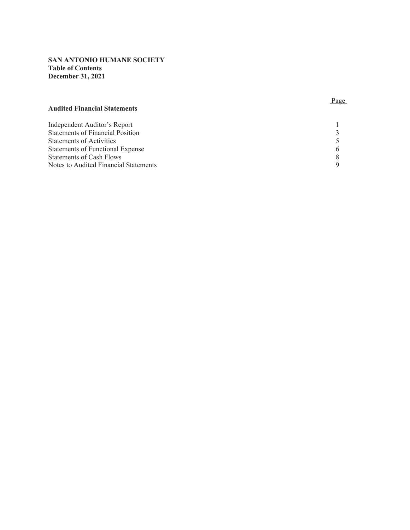### **SAN ANTONIO HUMANE SOCIETY Table of Contents December 31, 2021**

#### **Audited Financial Statements**

#### **Page**

| Independent Auditor's Report            |  |
|-----------------------------------------|--|
| <b>Statements of Financial Position</b> |  |
| Statements of Activities                |  |
| Statements of Functional Expense        |  |
| Statements of Cash Flows                |  |
| Notes to Audited Financial Statements   |  |
|                                         |  |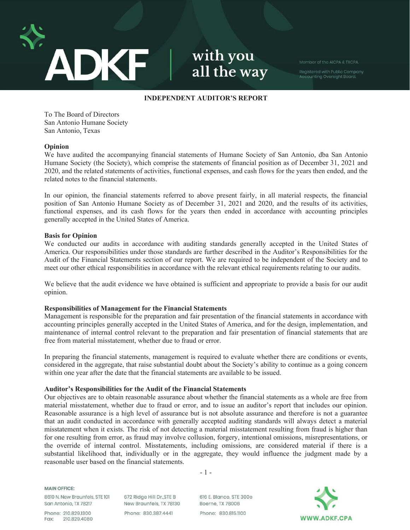

with you all the way

Member of the AICPA & TXCPA.

Registered with Public Company<br>Accounting Oversight Board.

#### **INDEPENDENT AUDITOR'S REPORT**

To The Board of Directors San Antonio Humane Society San Antonio, Texas

#### **Opinion**

We have audited the accompanying financial statements of Humane Society of San Antonio, dba San Antonio Humane Society (the Society), which comprise the statements of financial position as of December 31, 2021 and 2020, and the related statements of activities, functional expenses, and cash flows for the years then ended, and the related notes to the financial statements.

In our opinion, the financial statements referred to above present fairly, in all material respects, the financial position of San Antonio Humane Society as of December 31, 2021 and 2020, and the results of its activities, functional expenses, and its cash flows for the years then ended in accordance with accounting principles generally accepted in the United States of America.

#### **Basis for Opinion**

We conducted our audits in accordance with auditing standards generally accepted in the United States of America. Our responsibilities under those standards are further described in the Auditor's Responsibilities for the Audit of the Financial Statements section of our report. We are required to be independent of the Society and to meet our other ethical responsibilities in accordance with the relevant ethical requirements relating to our audits.

We believe that the audit evidence we have obtained is sufficient and appropriate to provide a basis for our audit opinion.

#### **Responsibilities of Management for the Financial Statements**

Management is responsible for the preparation and fair presentation of the financial statements in accordance with accounting principles generally accepted in the United States of America, and for the design, implementation, and maintenance of internal control relevant to the preparation and fair presentation of financial statements that are free from material misstatement, whether due to fraud or error.

In preparing the financial statements, management is required to evaluate whether there are conditions or events, considered in the aggregate, that raise substantial doubt about the Society's ability to continue as a going concern within one year after the date that the financial statements are available to be issued.

#### **Auditor's Responsibilities for the Audit of the Financial Statements**

Our objectives are to obtain reasonable assurance about whether the financial statements as a whole are free from material misstatement, whether due to fraud or error, and to issue an auditor's report that includes our opinion. Reasonable assurance is a high level of assurance but is not absolute assurance and therefore is not a guarantee that an audit conducted in accordance with generally accepted auditing standards will always detect a material misstatement when it exists. The risk of not detecting a material misstatement resulting from fraud is higher than for one resulting from error, as fraud may involve collusion, forgery, intentional omissions, misrepresentations, or the override of internal control. Misstatements, including omissions, are considered material if there is a substantial likelihood that, individually or in the aggregate, they would influence the judgment made by a reasonable user based on the financial statements.

-1-

**MAIN OFFICE:** 

8610 N. New Braunfels, STE 101 San Antonio, TX 78217

Phone: 210.829.1300 Fax: 210.829.4080 672 Ridge Hill Dr., STE B New Braunfels, TX 78130 Phone: 830,387,4441

616 E. Blanco, STE 300e Boerne, TX 78006 Phone: 830.815.1100

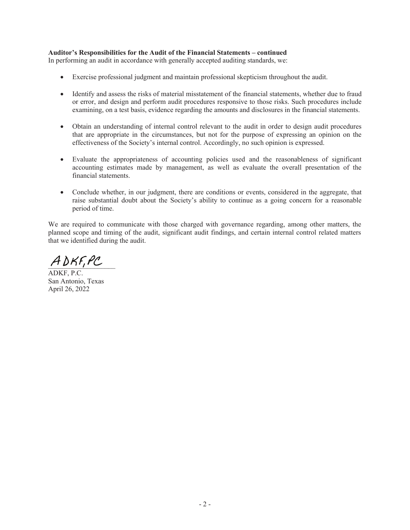#### **Auditor's Responsibilities for the Audit of the Financial Statements – continued**

In performing an audit in accordance with generally accepted auditing standards, we:

- Exercise professional judgment and maintain professional skepticism throughout the audit.
- Identify and assess the risks of material misstatement of the financial statements, whether due to fraud or error, and design and perform audit procedures responsive to those risks. Such procedures include examining, on a test basis, evidence regarding the amounts and disclosures in the financial statements.
- Obtain an understanding of internal control relevant to the audit in order to design audit procedures that are appropriate in the circumstances, but not for the purpose of expressing an opinion on the effectiveness of the Society's internal control. Accordingly, no such opinion is expressed.
- Evaluate the appropriateness of accounting policies used and the reasonableness of significant accounting estimates made by management, as well as evaluate the overall presentation of the financial statements.
- Conclude whether, in our judgment, there are conditions or events, considered in the aggregate, that raise substantial doubt about the Society's ability to continue as a going concern for a reasonable period of time.

We are required to communicate with those charged with governance regarding, among other matters, the planned scope and timing of the audit, significant audit findings, and certain internal control related matters that we identified during the audit.

 $ADKF, PC$ 

ADKF, P.C. San Antonio, Texas April 26, 2022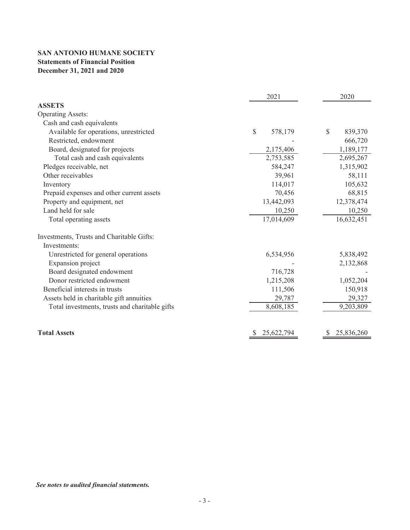# **SAN ANTONIO HUMANE SOCIETY Statements of Financial Position December 31, 2021 and 2020**

|                                                | 2021                     | 2020          |
|------------------------------------------------|--------------------------|---------------|
| <b>ASSETS</b>                                  |                          |               |
| <b>Operating Assets:</b>                       |                          |               |
| Cash and cash equivalents                      |                          |               |
| Available for operations, unrestricted         | $\mathcal{S}$<br>578,179 | \$<br>839,370 |
| Restricted, endowment                          |                          | 666,720       |
| Board, designated for projects                 | 2,175,406                | 1,189,177     |
| Total cash and cash equivalents                | 2,753,585                | 2,695,267     |
| Pledges receivable, net                        | 584,247                  | 1,315,902     |
| Other receivables                              | 39,961                   | 58,111        |
| Inventory                                      | 114,017                  | 105,632       |
| Prepaid expenses and other current assets      | 70,456                   | 68,815        |
| Property and equipment, net                    | 13,442,093               | 12,378,474    |
| Land held for sale                             | 10,250                   | 10,250        |
| Total operating assets                         | 17,014,609               | 16,632,451    |
| Investments, Trusts and Charitable Gifts:      |                          |               |
| Investments:                                   |                          |               |
| Unrestricted for general operations            | 6,534,956                | 5,838,492     |
| Expansion project                              |                          | 2,132,868     |
| Board designated endowment                     | 716,728                  |               |
| Donor restricted endowment                     | 1,215,208                | 1,052,204     |
| Beneficial interests in trusts                 | 111,506                  | 150,918       |
| Assets held in charitable gift annuities       | 29,787                   | 29,327        |
| Total investments, trusts and charitable gifts | 8,608,185                | 9,203,809     |
|                                                |                          |               |
| <b>Total Assets</b>                            | 25,622,794               | 25,836,260    |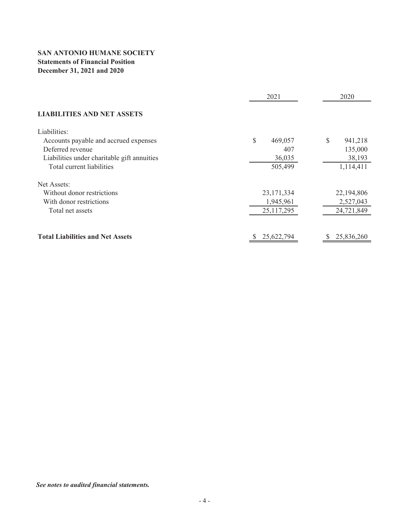# **SAN ANTONIO HUMANE SOCIETY Statements of Financial Position December 31, 2021 and 2020**

|                                             | 2021          | 2020          |
|---------------------------------------------|---------------|---------------|
| <b>LIABILITIES AND NET ASSETS</b>           |               |               |
| Liabilities:                                |               |               |
| Accounts payable and accrued expenses       | \$<br>469,057 | \$<br>941,218 |
| Deferred revenue                            | 407           | 135,000       |
| Liabilities under charitable gift annuities | 36,035        | 38,193        |
| Total current liabilities                   | 505,499       | 1,114,411     |
| Net Assets:                                 |               |               |
| Without donor restrictions                  | 23, 171, 334  | 22,194,806    |
| With donor restrictions                     | 1,945,961     | 2,527,043     |
| Total net assets                            | 25, 117, 295  | 24,721,849    |
| <b>Total Liabilities and Net Assets</b>     | 25,622,794    | 25,836,260    |

*See notes to audited financial statements.*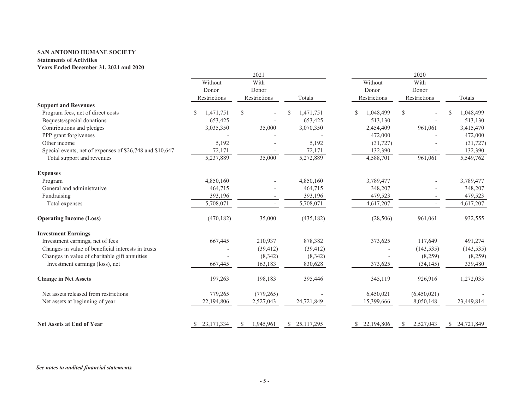#### **SAN ANTONIO HUMANE SOCIETY**

#### **Statements of Activities**

#### **Years Ended December 31, 2021 and 2020**

|                                                          |                 | 2021           |                 | 2020            |                           |                |  |  |
|----------------------------------------------------------|-----------------|----------------|-----------------|-----------------|---------------------------|----------------|--|--|
|                                                          | Without         | With           |                 | Without         | With                      |                |  |  |
|                                                          | Donor           | Donor          |                 | Donor           | Donor                     |                |  |  |
|                                                          | Restrictions    | Restrictions   | Totals          | Restrictions    | Restrictions              | Totals         |  |  |
| <b>Support and Revenues</b>                              |                 |                |                 |                 |                           |                |  |  |
| Program fees, net of direct costs                        | \$<br>1,471,751 | \$             | 1,471,751       | 1,048,499<br>\$ | \$                        | 1,048,499<br>S |  |  |
| Bequests/special donations                               | 653,425         |                | 653,425         | 513,130         |                           | 513,130        |  |  |
| Contributions and pledges                                | 3,035,350       | 35,000         | 3,070,350       | 2,454,409       | 961,061                   | 3,415,470      |  |  |
| PPP grant forgiveness                                    |                 |                |                 | 472,000         |                           | 472,000        |  |  |
| Other income                                             | 5,192           |                | 5,192           | (31, 727)       |                           | (31, 727)      |  |  |
| Special events, net of expenses of \$26,748 and \$10,647 | 72,171          |                | 72,171          | 132,390         |                           | 132,390        |  |  |
| Total support and revenues                               | 5,237,889       | 35,000         | 5,272,889       | 4,588,701       | 961,061                   | 5,549,762      |  |  |
| <b>Expenses</b>                                          |                 |                |                 |                 |                           |                |  |  |
| Program                                                  | 4,850,160       |                | 4,850,160       | 3,789,477       |                           | 3,789,477      |  |  |
| General and administrative                               | 464,715         |                | 464,715         | 348,207         |                           | 348,207        |  |  |
| Fundraising                                              | 393,196         |                | 393,196         | 479,523         |                           | 479,523        |  |  |
| Total expenses                                           | 5,708,071       |                | 5,708,071       | 4,617,207       |                           | 4,617,207      |  |  |
| <b>Operating Income (Loss)</b>                           | (470, 182)      | 35,000         | (435, 182)      | (28, 506)       | 961,061                   | 932,555        |  |  |
| <b>Investment Earnings</b>                               |                 |                |                 |                 |                           |                |  |  |
| Investment earnings, net of fees                         | 667,445         | 210,937        | 878,382         | 373,625         | 117,649                   | 491,274        |  |  |
| Changes in value of beneficial interests in trusts       |                 | (39, 412)      | (39, 412)       |                 | (143, 535)                | (143, 535)     |  |  |
| Changes in value of charitable gift annuities            |                 | (8, 342)       | (8,342)         |                 | (8,259)                   | (8,259)        |  |  |
| Investment earnings (loss), net                          | 667,445         | 163,183        | 830,628         | 373,625         | (34, 145)                 | 339,480        |  |  |
| <b>Change in Net Assets</b>                              | 197,263         | 198,183        | 395,446         | 345,119         | 926,916                   | 1,272,035      |  |  |
| Net assets released from restrictions                    | 779,265         | (779, 265)     |                 | 6,450,021       | (6,450,021)               |                |  |  |
| Net assets at beginning of year                          | 22,194,806      | 2,527,043      | 24,721,849      | 15,399,666      | 8,050,148                 | 23,449,814     |  |  |
| <b>Net Assets at End of Year</b>                         | 23, 171, 334    | 1,945,961<br>S | 25,117,295<br>S | 22,194,806      | 2,527,043<br><sup>S</sup> | \$ 24,721,849  |  |  |
|                                                          |                 |                |                 |                 |                           |                |  |  |

*See notes to audited financial statements.*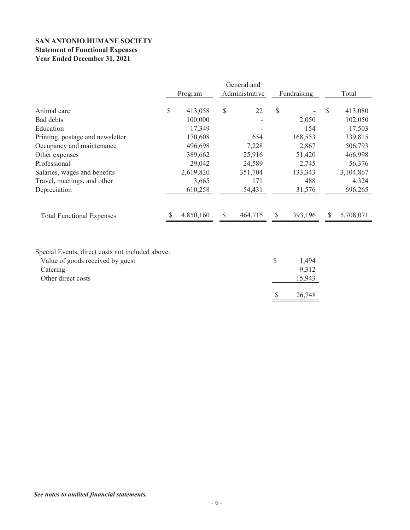# **SAN ANTONIO HUMANE SOCIETY Statement of Functional Expenses Year Ended December 31, 2021**

|                                                                                                                        | Program       | General and<br>Administrative |               | Fundraising              |              | Total     |
|------------------------------------------------------------------------------------------------------------------------|---------------|-------------------------------|---------------|--------------------------|--------------|-----------|
| Animal care                                                                                                            | \$<br>413,058 | \$<br>22                      | \$            |                          | S            | 413,080   |
| Bad debts                                                                                                              | 100,000       |                               |               | 2,050                    |              | 102,050   |
| Education                                                                                                              | 17,349        |                               |               | 154                      |              | 17,503    |
| Printing, postage and newsletter                                                                                       | 170,608       | 654                           |               | 168,553                  |              | 339,815   |
| Occupancy and maintenance                                                                                              | 496,698       | 7,228                         |               | 2,867                    |              | 506,793   |
| Other expenses                                                                                                         | 389,662       | 25,916                        |               | 51,420                   |              | 466,998   |
| Professional                                                                                                           | 29,042        | 24,589                        |               | 2,745                    |              | 56,376    |
| Salaries, wages and benefits                                                                                           | 2,619,820     | 351,704                       |               | 133,343                  |              | 3,104,867 |
| Travel, meetings, and other                                                                                            | 3,665         | 171                           |               | 488                      |              | 4,324     |
| Depreciation                                                                                                           | 610,258       | 54,431                        |               | 31,576                   |              | 696,265   |
| <b>Total Functional Expenses</b>                                                                                       | 4,850,160     | \$<br>464,715                 | <sup>\$</sup> | 393,196                  | <sup>S</sup> | 5,708,071 |
| Special Events, direct costs not included above:<br>Value of goods received by guest<br>Catering<br>Other direct costs |               |                               | \$            | 1,494<br>9,312<br>15,943 |              |           |

 $$ 26,748$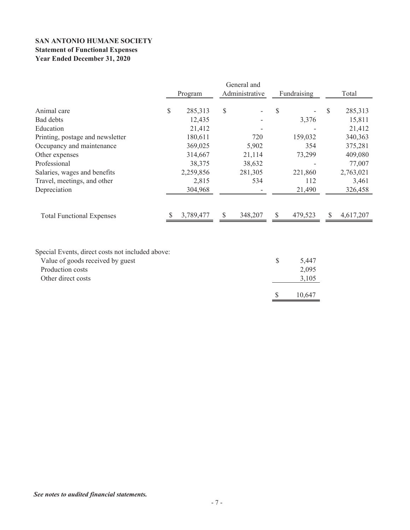# **SAN ANTONIO HUMANE SOCIETY Statement of Functional Expenses Year Ended December 31, 2020**

|                                                                                                                                | Program       |                           | General and<br>Administrative |               | Fundraising             |               | Total     |
|--------------------------------------------------------------------------------------------------------------------------------|---------------|---------------------------|-------------------------------|---------------|-------------------------|---------------|-----------|
| Animal care                                                                                                                    | \$<br>285,313 | \$                        |                               | \$            |                         | <sup>\$</sup> | 285,313   |
| Bad debts                                                                                                                      | 12,435        |                           |                               |               | 3,376                   |               | 15,811    |
| Education                                                                                                                      | 21,412        |                           |                               |               |                         |               | 21,412    |
| Printing, postage and newsletter                                                                                               | 180,611       |                           | 720                           |               | 159,032                 |               | 340,363   |
| Occupancy and maintenance                                                                                                      | 369,025       |                           | 5,902                         |               | 354                     |               | 375,281   |
| Other expenses                                                                                                                 | 314,667       |                           | 21,114                        |               | 73,299                  |               | 409,080   |
| Professional                                                                                                                   | 38,375        |                           | 38,632                        |               |                         |               | 77,007    |
| Salaries, wages and benefits                                                                                                   | 2,259,856     |                           | 281,305                       |               | 221,860                 |               | 2,763,021 |
| Travel, meetings, and other                                                                                                    | 2,815         |                           | 534                           |               | 112                     |               | 3,461     |
| Depreciation                                                                                                                   | 304,968       |                           |                               |               | 21,490                  |               | 326,458   |
| <b>Total Functional Expenses</b>                                                                                               | 3,789,477     | $\boldsymbol{\mathsf{S}}$ | 348,207                       | $\mathcal{S}$ | 479,523                 | <sup>\$</sup> | 4,617,207 |
| Special Events, direct costs not included above:<br>Value of goods received by guest<br>Production costs<br>Other direct costs |               |                           |                               | \$            | 5,447<br>2,095<br>3,105 |               |           |
|                                                                                                                                |               |                           |                               | \$            | 10,647                  |               |           |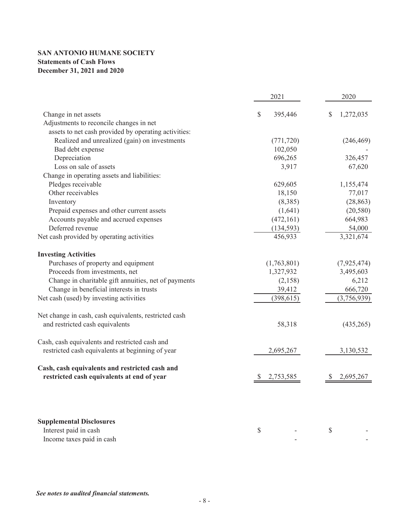# **SAN ANTONIO HUMANE SOCIETY Statements of Cash Flows December 31, 2021 and 2020**

|                                                       | 2021           | 2020            |  |
|-------------------------------------------------------|----------------|-----------------|--|
| Change in net assets                                  | \$<br>395,446  | 1,272,035<br>\$ |  |
| Adjustments to reconcile changes in net               |                |                 |  |
| assets to net cash provided by operating activities:  |                |                 |  |
| Realized and unrealized (gain) on investments         | (771, 720)     | (246, 469)      |  |
| Bad debt expense                                      | 102,050        |                 |  |
| Depreciation                                          | 696,265        | 326,457         |  |
| Loss on sale of assets                                | 3,917          | 67,620          |  |
| Change in operating assets and liabilities:           |                |                 |  |
| Pledges receivable                                    | 629,605        | 1,155,474       |  |
| Other receivables                                     | 18,150         | 77,017          |  |
| Inventory                                             | (8,385)        | (28, 863)       |  |
| Prepaid expenses and other current assets             | (1,641)        | (20, 580)       |  |
| Accounts payable and accrued expenses                 | (472, 161)     | 664,983         |  |
| Deferred revenue                                      | (134, 593)     | 54,000          |  |
| Net cash provided by operating activities             | 456,933        | 3,321,674       |  |
| <b>Investing Activities</b>                           |                |                 |  |
| Purchases of property and equipment                   | (1,763,801)    | (7,925,474)     |  |
| Proceeds from investments, net                        | 1,327,932      | 3,495,603       |  |
| Change in charitable gift annuities, net of payments  | (2,158)        | 6,212           |  |
| Change in beneficial interests in trusts              | 39,412         | 666,720         |  |
| Net cash (used) by investing activities               | (398, 615)     | (3,756,939)     |  |
| Net change in cash, cash equivalents, restricted cash |                |                 |  |
| and restricted cash equivalents                       | 58,318         | (435, 265)      |  |
| Cash, cash equivalents and restricted cash and        |                |                 |  |
| restricted cash equivalents at beginning of year      | 2,695,267      | 3,130,532       |  |
| Cash, cash equivalents and restricted cash and        |                |                 |  |
| restricted cash equivalents at end of year            | 2,753,585<br>P | 2,695,267       |  |
|                                                       |                |                 |  |
| <b>Supplemental Disclosures</b>                       |                |                 |  |
| Interest paid in cash                                 | \$             | \$              |  |
| Income taxes paid in cash                             |                |                 |  |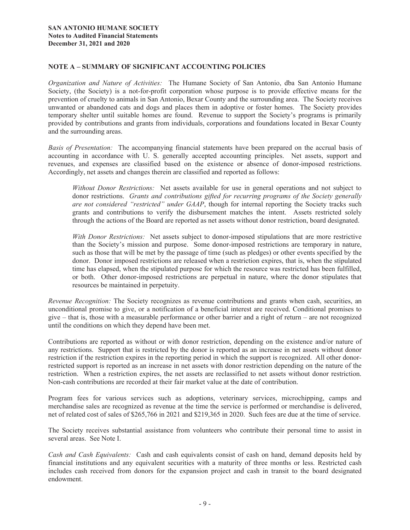#### **NOTE A – SUMMARY OF SIGNIFICANT ACCOUNTING POLICIES**

*Organization and Nature of Activities:* The Humane Society of San Antonio, dba San Antonio Humane Society, (the Society) is a not-for-profit corporation whose purpose is to provide effective means for the prevention of cruelty to animals in San Antonio, Bexar County and the surrounding area. The Society receives unwanted or abandoned cats and dogs and places them in adoptive or foster homes. The Society provides temporary shelter until suitable homes are found. Revenue to support the Society's programs is primarily provided by contributions and grants from individuals, corporations and foundations located in Bexar County and the surrounding areas.

*Basis of Presentation:* The accompanying financial statements have been prepared on the accrual basis of accounting in accordance with U. S. generally accepted accounting principles. Net assets, support and revenues, and expenses are classified based on the existence or absence of donor-imposed restrictions. Accordingly, net assets and changes therein are classified and reported as follows:

*Without Donor Restrictions:* Net assets available for use in general operations and not subject to donor restrictions. *Grants and contributions gifted for recurring programs of the Society generally are not considered "restricted" under GAAP*, though for internal reporting the Society tracks such grants and contributions to verify the disbursement matches the intent. Assets restricted solely through the actions of the Board are reported as net assets without donor restriction, board designated.

*With Donor Restrictions:* Net assets subject to donor-imposed stipulations that are more restrictive than the Society's mission and purpose. Some donor-imposed restrictions are temporary in nature, such as those that will be met by the passage of time (such as pledges) or other events specified by the donor. Donor imposed restrictions are released when a restriction expires, that is, when the stipulated time has elapsed, when the stipulated purpose for which the resource was restricted has been fulfilled, or both. Other donor-imposed restrictions are perpetual in nature, where the donor stipulates that resources be maintained in perpetuity.

*Revenue Recognition:* The Society recognizes as revenue contributions and grants when cash, securities, an unconditional promise to give, or a notification of a beneficial interest are received. Conditional promises to give – that is, those with a measurable performance or other barrier and a right of return – are not recognized until the conditions on which they depend have been met.

Contributions are reported as without or with donor restriction, depending on the existence and/or nature of any restrictions. Support that is restricted by the donor is reported as an increase in net assets without donor restriction if the restriction expires in the reporting period in which the support is recognized. All other donorrestricted support is reported as an increase in net assets with donor restriction depending on the nature of the restriction. When a restriction expires, the net assets are reclassified to net assets without donor restriction. Non-cash contributions are recorded at their fair market value at the date of contribution.

Program fees for various services such as adoptions, veterinary services, microchipping, camps and merchandise sales are recognized as revenue at the time the service is performed or merchandise is delivered, net of related cost of sales of \$265,766 in 2021 and \$219,365 in 2020. Such fees are due at the time of service.

The Society receives substantial assistance from volunteers who contribute their personal time to assist in several areas. See Note I.

*Cash and Cash Equivalents:* Cash and cash equivalents consist of cash on hand, demand deposits held by financial institutions and any equivalent securities with a maturity of three months or less. Restricted cash includes cash received from donors for the expansion project and cash in transit to the board designated endowment.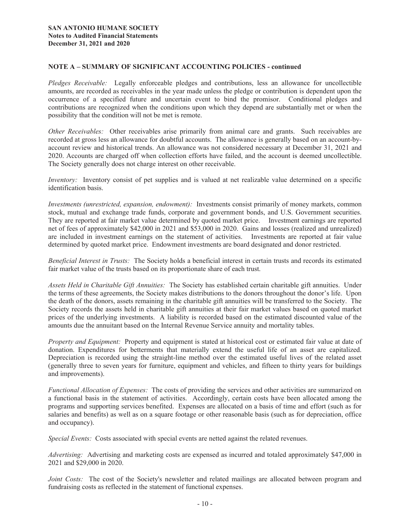#### **NOTE A – SUMMARY OF SIGNIFICANT ACCOUNTING POLICIES - continued**

*Pledges Receivable:* Legally enforceable pledges and contributions, less an allowance for uncollectible amounts, are recorded as receivables in the year made unless the pledge or contribution is dependent upon the occurrence of a specified future and uncertain event to bind the promisor. Conditional pledges and contributions are recognized when the conditions upon which they depend are substantially met or when the possibility that the condition will not be met is remote.

*Other Receivables:* Other receivables arise primarily from animal care and grants. Such receivables are recorded at gross less an allowance for doubtful accounts. The allowance is generally based on an account-byaccount review and historical trends. An allowance was not considered necessary at December 31, 2021 and 2020. Accounts are charged off when collection efforts have failed, and the account is deemed uncollectible. The Society generally does not charge interest on other receivable.

*Inventory:* Inventory consist of pet supplies and is valued at net realizable value determined on a specific identification basis.

*Investments (unrestricted, expansion, endowment):* Investments consist primarily of money markets, common stock, mutual and exchange trade funds, corporate and government bonds, and U.S. Government securities. They are reported at fair market value determined by quoted market price. Investment earnings are reported net of fees of approximately \$42,000 in 2021 and \$53,000 in 2020. Gains and losses (realized and unrealized) are included in investment earnings on the statement of activities. Investments are reported at fair value determined by quoted market price. Endowment investments are board designated and donor restricted.

*Beneficial Interest in Trusts:* The Society holds a beneficial interest in certain trusts and records its estimated fair market value of the trusts based on its proportionate share of each trust.

*Assets Held in Charitable Gift Annuities:* The Society has established certain charitable gift annuities. Under the terms of these agreements, the Society makes distributions to the donors throughout the donor's life. Upon the death of the donors, assets remaining in the charitable gift annuities will be transferred to the Society. The Society records the assets held in charitable gift annuities at their fair market values based on quoted market prices of the underlying investments. A liability is recorded based on the estimated discounted value of the amounts due the annuitant based on the Internal Revenue Service annuity and mortality tables.

*Property and Equipment:* Property and equipment is stated at historical cost or estimated fair value at date of donation. Expenditures for betterments that materially extend the useful life of an asset are capitalized. Depreciation is recorded using the straight-line method over the estimated useful lives of the related asset (generally three to seven years for furniture, equipment and vehicles, and fifteen to thirty years for buildings and improvements).

*Functional Allocation of Expenses:* The costs of providing the services and other activities are summarized on a functional basis in the statement of activities. Accordingly, certain costs have been allocated among the programs and supporting services benefited. Expenses are allocated on a basis of time and effort (such as for salaries and benefits) as well as on a square footage or other reasonable basis (such as for depreciation, office and occupancy).

*Special Events:* Costs associated with special events are netted against the related revenues.

*Advertising:* Advertising and marketing costs are expensed as incurred and totaled approximately \$47,000 in 2021 and \$29,000 in 2020.

*Joint Costs:* The cost of the Society's newsletter and related mailings are allocated between program and fundraising costs as reflected in the statement of functional expenses.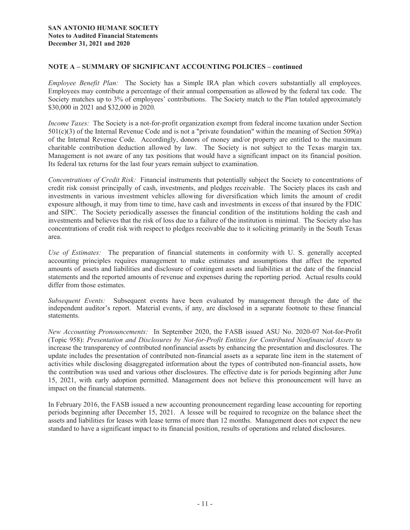#### **NOTE A – SUMMARY OF SIGNIFICANT ACCOUNTING POLICIES – continued**

*Employee Benefit Plan:* The Society has a Simple IRA plan which covers substantially all employees. Employees may contribute a percentage of their annual compensation as allowed by the federal tax code. The Society matches up to 3% of employees' contributions. The Society match to the Plan totaled approximately \$30,000 in 2021 and \$32,000 in 2020.

*Income Taxes:* The Society is a not-for-profit organization exempt from federal income taxation under Section 501(c)(3) of the Internal Revenue Code and is not a "private foundation" within the meaning of Section 509(a) of the Internal Revenue Code. Accordingly, donors of money and/or property are entitled to the maximum charitable contribution deduction allowed by law. The Society is not subject to the Texas margin tax. Management is not aware of any tax positions that would have a significant impact on its financial position. Its federal tax returns for the last four years remain subject to examination.

*Concentrations of Credit Risk:* Financial instruments that potentially subject the Society to concentrations of credit risk consist principally of cash, investments, and pledges receivable. The Society places its cash and investments in various investment vehicles allowing for diversification which limits the amount of credit exposure although, it may from time to time, have cash and investments in excess of that insured by the FDIC and SIPC. The Society periodically assesses the financial condition of the institutions holding the cash and investments and believes that the risk of loss due to a failure of the institution is minimal. The Society also has concentrations of credit risk with respect to pledges receivable due to it soliciting primarily in the South Texas area.

*Use of Estimates:* The preparation of financial statements in conformity with U. S. generally accepted accounting principles requires management to make estimates and assumptions that affect the reported amounts of assets and liabilities and disclosure of contingent assets and liabilities at the date of the financial statements and the reported amounts of revenue and expenses during the reporting period. Actual results could differ from those estimates.

*Subsequent Events:* Subsequent events have been evaluated by management through the date of the independent auditor's report. Material events, if any, are disclosed in a separate footnote to these financial statements.

*New Accounting Pronouncements:* In September 2020, the FASB issued ASU No. 2020-07 Not-for-Profit (Topic 958): *Presentation and Disclosures by Not-for-Profit Entities for Contributed Nonfinancial Assets* to increase the transparency of contributed nonfinancial assets by enhancing the presentation and disclosures. The update includes the presentation of contributed non-financial assets as a separate line item in the statement of activities while disclosing disaggregated information about the types of contributed non-financial assets, how the contribution was used and various other disclosures. The effective date is for periods beginning after June 15, 2021, with early adoption permitted. Management does not believe this pronouncement will have an impact on the financial statements.

In February 2016, the FASB issued a new accounting pronouncement regarding lease accounting for reporting periods beginning after December 15, 2021. A lessee will be required to recognize on the balance sheet the assets and liabilities for leases with lease terms of more than 12 months. Management does not expect the new standard to have a significant impact to its financial position, results of operations and related disclosures.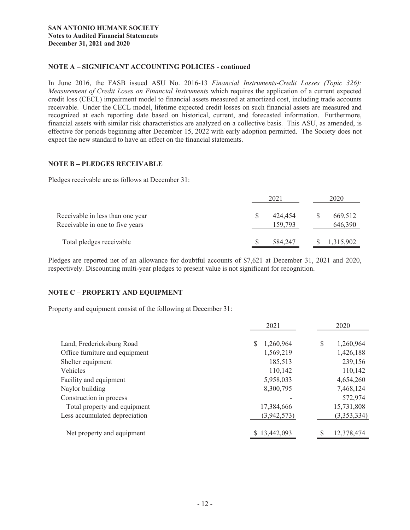### **NOTE A – SIGNIFICANT ACCOUNTING POLICIES - continued**

In June 2016, the FASB issued ASU No. 2016-13 *Financial Instruments-Credit Losses (Topic 326): Measurement of Credit Loses on Financial Instruments* which requires the application of a current expected credit loss (CECL) impairment model to financial assets measured at amortized cost, including trade accounts receivable. Under the CECL model, lifetime expected credit losses on such financial assets are measured and recognized at each reporting date based on historical, current, and forecasted information. Furthermore, financial assets with similar risk characteristics are analyzed on a collective basis. This ASU, as amended, is effective for periods beginning after December 15, 2022 with early adoption permitted. The Society does not expect the new standard to have an effect on the financial statements.

#### **NOTE B – PLEDGES RECEIVABLE**

Pledges receivable are as follows at December 31:

|                                                                     | 2021               | 2020               |
|---------------------------------------------------------------------|--------------------|--------------------|
| Receivable in less than one year<br>Receivable in one to five years | 424,454<br>159,793 | 669,512<br>646,390 |
| Total pledges receivable                                            | 584,247            | 1,315,902          |

Pledges are reported net of an allowance for doubtful accounts of \$7,621 at December 31, 2021 and 2020, respectively. Discounting multi-year pledges to present value is not significant for recognition.

#### **NOTE C – PROPERTY AND EQUIPMENT**

Property and equipment consist of the following at December 31:

|                                | 2021         | 2020 |             |  |
|--------------------------------|--------------|------|-------------|--|
| Land, Fredericksburg Road      | 1,260,964    | S    | 1,260,964   |  |
| Office furniture and equipment | 1,569,219    |      | 1,426,188   |  |
| Shelter equipment              | 185,513      |      | 239,156     |  |
| Vehicles                       | 110,142      |      | 110,142     |  |
| Facility and equipment         | 5,958,033    |      | 4,654,260   |  |
| Naylor building                | 8,300,795    |      | 7,468,124   |  |
| Construction in process        |              |      | 572,974     |  |
| Total property and equipment   | 17,384,666   |      | 15,731,808  |  |
| Less accumulated depreciation  | (3,942,573)  |      | (3,353,334) |  |
| Net property and equipment     | \$13,442,093 |      | 12,378,474  |  |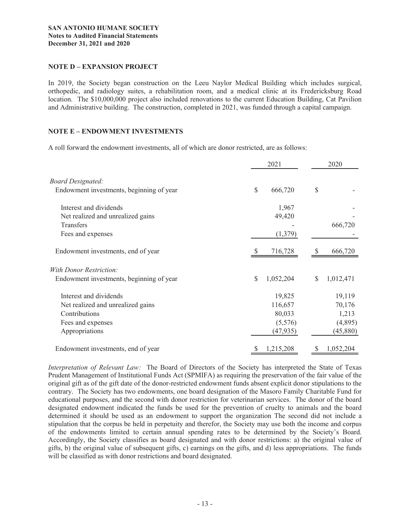#### **NOTE D – EXPANSION PROJECT**

In 2019, the Society began construction on the Leeu Naylor Medical Building which includes surgical, orthopedic, and radiology suites, a rehabilitation room, and a medical clinic at its Fredericksburg Road location. The \$10,000,000 project also included renovations to the current Education Building, Cat Pavilion and Administrative building. The construction, completed in 2021, was funded through a capital campaign.

#### **NOTE E – ENDOWMENT INVESTMENTS**

A roll forward the endowment investments, all of which are donor restricted, are as follows:

|                                          |               | 2021      |    |           |
|------------------------------------------|---------------|-----------|----|-----------|
| <b>Board Designated:</b>                 |               |           |    |           |
| Endowment investments, beginning of year | $\mathcal{S}$ | 666,720   | \$ |           |
| Interest and dividends                   |               | 1,967     |    |           |
| Net realized and unrealized gains        |               | 49,420    |    |           |
| Transfers                                |               |           |    | 666,720   |
| Fees and expenses                        |               | (1,379)   |    |           |
| Endowment investments, end of year       |               | 716,728   |    | 666,720   |
| <b>With Donor Restriction:</b>           |               |           |    |           |
| Endowment investments, beginning of year | \$            | 1,052,204 | \$ | 1,012,471 |
| Interest and dividends                   |               | 19,825    |    | 19,119    |
| Net realized and unrealized gains        |               | 116,657   |    | 70,176    |
| Contributions                            |               | 80,033    |    | 1,213     |
| Fees and expenses                        |               | (5,576)   |    | (4,895)   |
| Appropriations                           |               | (47, 935) |    | (45,880)  |
| Endowment investments, end of year       |               | 1,215,208 |    | 1,052,204 |

*Interpretation of Relevant Law:* The Board of Directors of the Society has interpreted the State of Texas Prudent Management of Institutional Funds Act (SPMIFA) as requiring the preservation of the fair value of the original gift as of the gift date of the donor-restricted endowment funds absent explicit donor stipulations to the contrary. The Society has two endowments, one board designation of the Masoro Family Charitable Fund for educational purposes, and the second with donor restriction for veterinarian services. The donor of the board designated endowment indicated the funds be used for the prevention of cruelty to animals and the board determined it should be used as an endowment to support the organization The second did not include a stipulation that the corpus be held in perpetuity and therefor, the Society may use both the income and corpus of the endowments limited to certain annual spending rates to be determined by the Society's Board. Accordingly, the Society classifies as board designated and with donor restrictions: a) the original value of gifts, b) the original value of subsequent gifts, c) earnings on the gifts, and d) less appropriations. The funds will be classified as with donor restrictions and board designated.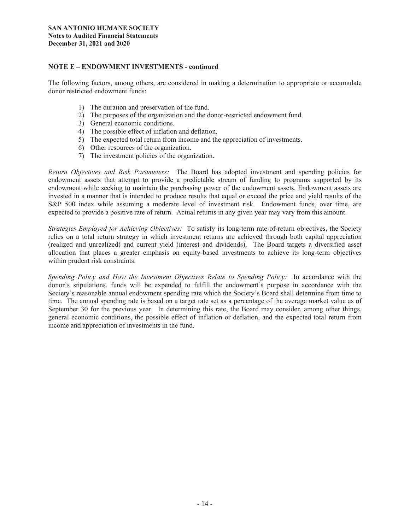#### **NOTE E – ENDOWMENT INVESTMENTS - continued**

The following factors, among others, are considered in making a determination to appropriate or accumulate donor restricted endowment funds:

- 1) The duration and preservation of the fund.
- 2) The purposes of the organization and the donor-restricted endowment fund.
- 3) General economic conditions.
- 4) The possible effect of inflation and deflation.
- 5) The expected total return from income and the appreciation of investments.
- 6) Other resources of the organization.
- 7) The investment policies of the organization.

*Return Objectives and Risk Parameters:* The Board has adopted investment and spending policies for endowment assets that attempt to provide a predictable stream of funding to programs supported by its endowment while seeking to maintain the purchasing power of the endowment assets. Endowment assets are invested in a manner that is intended to produce results that equal or exceed the price and yield results of the S&P 500 index while assuming a moderate level of investment risk. Endowment funds, over time, are expected to provide a positive rate of return. Actual returns in any given year may vary from this amount.

*Strategies Employed for Achieving Objectives:* To satisfy its long-term rate-of-return objectives, the Society relies on a total return strategy in which investment returns are achieved through both capital appreciation (realized and unrealized) and current yield (interest and dividends). The Board targets a diversified asset allocation that places a greater emphasis on equity-based investments to achieve its long-term objectives within prudent risk constraints.

*Spending Policy and How the Investment Objectives Relate to Spending Policy:* In accordance with the donor's stipulations, funds will be expended to fulfill the endowment's purpose in accordance with the Society's reasonable annual endowment spending rate which the Society's Board shall determine from time to time. The annual spending rate is based on a target rate set as a percentage of the average market value as of September 30 for the previous year. In determining this rate, the Board may consider, among other things, general economic conditions, the possible effect of inflation or deflation, and the expected total return from income and appreciation of investments in the fund.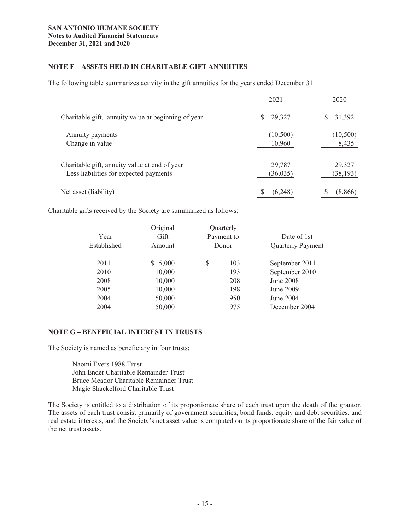## **NOTE F – ASSETS HELD IN CHARITABLE GIFT ANNUITIES**

The following table summarizes activity in the gift annuities for the years ended December 31:

|                                                     | 2021        | 2020        |
|-----------------------------------------------------|-------------|-------------|
| Charitable gift, annuity value at beginning of year | 29,327<br>S | 31,392<br>S |
| Annuity payments                                    | (10,500)    | (10, 500)   |
| Change in value                                     | 10,960      | 8,435       |
| Charitable gift, annuity value at end of year       | 29,787      | 29,327      |
| Less liabilities for expected payments              | (36, 035)   | (38, 193)   |
| Net asset (liability)                               | (6,248)     | (8,866)     |

Charitable gifts received by the Society are summarized as follows:

|             | Original    |       | Quarterly  |                |  |                          |
|-------------|-------------|-------|------------|----------------|--|--------------------------|
| Year        | Gift        |       | Payment to | Date of 1st    |  |                          |
| Established | Amount      | Donor |            |                |  | <b>Quarterly Payment</b> |
|             |             |       |            |                |  |                          |
| 2011        | 5,000<br>S. | \$    | 103        | September 2011 |  |                          |
| 2010        | 10,000      |       | 193        | September 2010 |  |                          |
| 2008        | 10,000      |       | 208        | June 2008      |  |                          |
| 2005        | 10,000      |       | 198        | June 2009      |  |                          |
| 2004        | 50,000      |       | 950        | June 2004      |  |                          |
| 2004        | 50,000      |       | 975        | December 2004  |  |                          |

## **NOTE G – BENEFICIAL INTEREST IN TRUSTS**

The Society is named as beneficiary in four trusts:

 Naomi Evers 1988 Trust John Ender Charitable Remainder Trust Bruce Meador Charitable Remainder Trust Magie Shackelford Charitable Trust

The Society is entitled to a distribution of its proportionate share of each trust upon the death of the grantor. The assets of each trust consist primarily of government securities, bond funds, equity and debt securities, and real estate interests, and the Society's net asset value is computed on its proportionate share of the fair value of the net trust assets.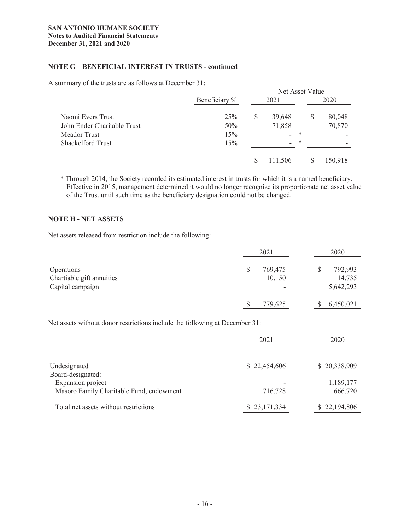### **NOTE G – BENEFICIAL INTEREST IN TRUSTS - continued**

A summary of the trusts are as follows at December 31:

|                             |     |      |                          |   | Net Asset Value |         |  |
|-----------------------------|-----|------|--------------------------|---|-----------------|---------|--|
| Beneficiary %               |     | 2021 |                          |   | 2020            |         |  |
| Naomi Evers Trust           | 25% | \$   | 39,648                   |   | S               | 80,048  |  |
| John Ender Charitable Trust | 50% |      | 71,858                   |   |                 | 70,870  |  |
| Meador Trust                | 15% |      | $\overline{\phantom{0}}$ | * |                 |         |  |
| <b>Shackelford Trust</b>    | 15% |      | $\overline{\phantom{0}}$ | * |                 |         |  |
|                             |     |      |                          |   |                 |         |  |
|                             |     |      | 111,506                  |   |                 | 150,918 |  |

\* Through 2014, the Society recorded its estimated interest in trusts for which it is a named beneficiary. Effective in 2015, management determined it would no longer recognize its proportionate net asset value of the Trust until such time as the beneficiary designation could not be changed.

#### **NOTE H - NET ASSETS**

Net assets released from restriction include the following:

|                                                                    | 2021                         |  |                                |
|--------------------------------------------------------------------|------------------------------|--|--------------------------------|
| <b>Operations</b><br>Chartiable gift annuities<br>Capital campaign | \$<br>769,475<br>10,150<br>- |  | 792,993<br>14,735<br>5,642,293 |
|                                                                    | 779,625                      |  | 6,450,021                      |

Net assets without donor restrictions include the following at December 31:

|                                                                                    | 2021         | 2020                 |
|------------------------------------------------------------------------------------|--------------|----------------------|
| Undesignated                                                                       | \$22,454,606 | \$20,338,909         |
| Board-designated:<br>Expansion project<br>Masoro Family Charitable Fund, endowment | 716,728      | 1,189,177<br>666,720 |
| Total net assets without restrictions                                              | \$23,171,334 | \$22,194,806         |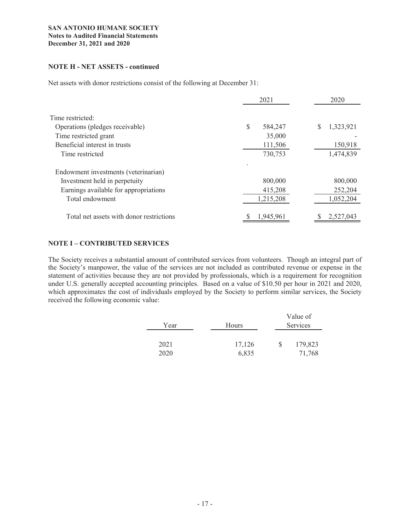#### **NOTE H - NET ASSETS - continued**

Net assets with donor restrictions consist of the following at December 31:

|                                          | 2021         | 2020      |
|------------------------------------------|--------------|-----------|
| Time restricted:                         |              |           |
| Operations (pledges receivable)          | S<br>584,247 | 1,323,921 |
| Time restricted grant                    | 35,000       |           |
| Beneficial interest in trusts            | 111,506      | 150,918   |
| Time restricted                          | 730,753      | 1,474,839 |
| Endowment investments (veterinarian)     |              |           |
| Investment held in perpetuity            | 800,000      | 800,000   |
| Earnings available for appropriations    | 415,208      | 252,204   |
| Total endowment                          | 1,215,208    | 1,052,204 |
| Total net assets with donor restrictions | 1.945.961    | 2,527,043 |

# **NOTE I – CONTRIBUTED SERVICES**

The Society receives a substantial amount of contributed services from volunteers. Though an integral part of the Society's manpower, the value of the services are not included as contributed revenue or expense in the statement of activities because they are not provided by professionals, which is a requirement for recognition under U.S. generally accepted accounting principles. Based on a value of \$10.50 per hour in 2021 and 2020, which approximates the cost of individuals employed by the Society to perform similar services, the Society received the following economic value:

| Year | Hours  | Value of<br>Services |
|------|--------|----------------------|
| 2021 | 17,126 | 179,823              |
| 2020 | 6,835  | 71,768               |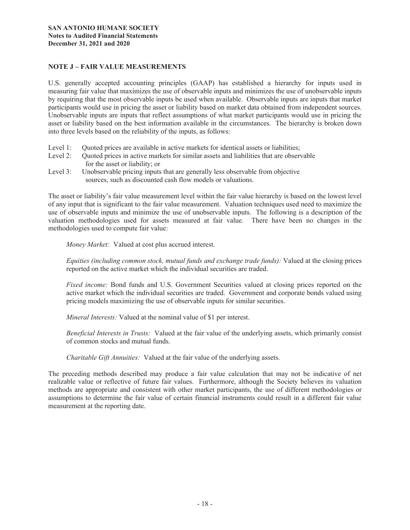#### **NOTE J – FAIR VALUE MEASUREMENTS**

U.S. generally accepted accounting principles (GAAP) has established a hierarchy for inputs used in measuring fair value that maximizes the use of observable inputs and minimizes the use of unobservable inputs by requiring that the most observable inputs be used when available. Observable inputs are inputs that market participants would use in pricing the asset or liability based on market data obtained from independent sources. Unobservable inputs are inputs that reflect assumptions of what market participants would use in pricing the asset or liability based on the best information available in the circumstances. The hierarchy is broken down into three levels based on the reliability of the inputs, as follows:

- Level 1: Quoted prices are available in active markets for identical assets or liabilities;
- Level 2: Quoted prices in active markets for similar assets and liabilities that are observable for the asset or liability; or
- Level 3: Unobservable pricing inputs that are generally less observable from objective sources, such as discounted cash flow models or valuations.

The asset or liability's fair value measurement level within the fair value hierarchy is based on the lowest level of any input that is significant to the fair value measurement. Valuation techniques used need to maximize the use of observable inputs and minimize the use of unobservable inputs. The following is a description of the valuation methodologies used for assets measured at fair value. There have been no changes in the methodologies used to compute fair value:

 *Money Market:* Valued at cost plus accrued interest.

*Equities (including common stock, mutual funds and exchange trade funds):* Valued at the closing prices reported on the active market which the individual securities are traded.

*Fixed income:* Bond funds and U.S. Government Securities valued at closing prices reported on the active market which the individual securities are traded. Government and corporate bonds valued using pricing models maximizing the use of observable inputs for similar securities.

*Mineral Interests:* Valued at the nominal value of \$1 per interest.

*Beneficial Interests in Trusts:* Valued at the fair value of the underlying assets, which primarily consist of common stocks and mutual funds.

*Charitable Gift Annuities:* Valued at the fair value of the underlying assets.

The preceding methods described may produce a fair value calculation that may not be indicative of net realizable value or reflective of future fair values. Furthermore, although the Society believes its valuation methods are appropriate and consistent with other market participants, the use of different methodologies or assumptions to determine the fair value of certain financial instruments could result in a different fair value measurement at the reporting date.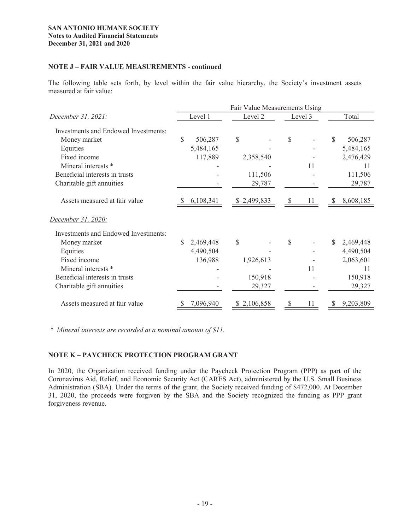#### **SAN ANTONIO HUMANE SOCIETY Notes to Audited Financial Statements December 31, 2021 and 2020**

#### **NOTE J – FAIR VALUE MEASUREMENTS - continued**

The following table sets forth, by level within the fair value hierarchy, the Society's investment assets measured at fair value:

|                                             | Fair Value Measurements Using |           |    |             |    |         |    |           |
|---------------------------------------------|-------------------------------|-----------|----|-------------|----|---------|----|-----------|
| <u>December 31, 2021:</u>                   |                               | Level 1   |    | Level 2     |    | Level 3 |    | Total     |
| Investments and Endowed Investments:        |                               |           |    |             |    |         |    |           |
| Money market                                | \$                            | 506,287   | \$ |             | \$ |         | \$ | 506,287   |
| Equities                                    |                               | 5,484,165 |    |             |    |         |    | 5,484,165 |
| Fixed income                                |                               | 117,889   |    | 2,358,540   |    |         |    | 2,476,429 |
| Mineral interests *                         |                               |           |    |             |    | 11      |    | 11        |
| Beneficial interests in trusts              |                               |           |    | 111,506     |    |         |    | 111,506   |
| Charitable gift annuities                   |                               |           |    | 29,787      |    |         |    | 29,787    |
| Assets measured at fair value               |                               | 6,108,341 |    | \$2,499,833 |    | 11      |    | 8,608,185 |
| December 31, 2020:                          |                               |           |    |             |    |         |    |           |
| <b>Investments and Endowed Investments:</b> |                               |           |    |             |    |         |    |           |
| Money market                                | \$                            | 2,469,448 | \$ |             | \$ |         | S  | 2,469,448 |
| Equities                                    |                               | 4,490,504 |    |             |    |         |    | 4,490,504 |
| Fixed income                                |                               | 136,988   |    | 1,926,613   |    |         |    | 2,063,601 |
| Mineral interests *                         |                               |           |    |             |    | 11      |    | 11        |
| Beneficial interests in trusts              |                               |           |    | 150,918     |    |         |    | 150,918   |
| Charitable gift annuities                   |                               |           |    | 29,327      |    |         |    | 29,327    |
| Assets measured at fair value               |                               | 7,096,940 | S  | 2,106,858   |    |         |    | 9,203,809 |

*\* Mineral interests are recorded at a nominal amount of \$11.*

# **NOTE K – PAYCHECK PROTECTION PROGRAM GRANT**

In 2020, the Organization received funding under the Paycheck Protection Program (PPP) as part of the Coronavirus Aid, Relief, and Economic Security Act (CARES Act), administered by the U.S. Small Business Administration (SBA). Under the terms of the grant, the Society received funding of \$472,000. At December 31, 2020, the proceeds were forgiven by the SBA and the Society recognized the funding as PPP grant forgiveness revenue.